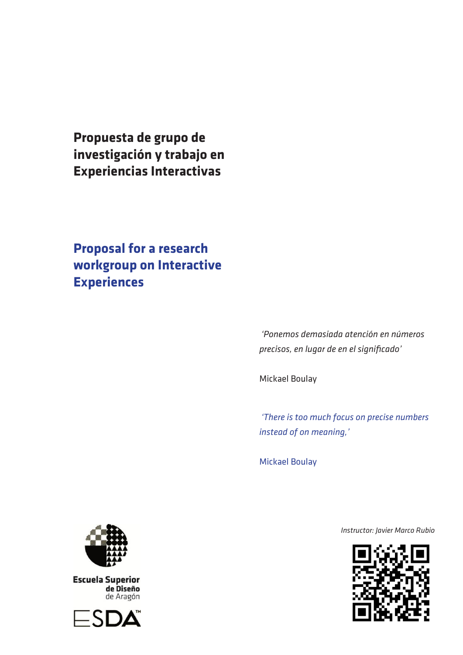**Propuesta de grupo de investigación y trabajo en Experiencias Interactivas**

**Proposal for a research workgroup on Interactive Experiences**

> *'Ponemos demasiada atención en números precisos, en lugar de en el significado'*

Mickael Boulay

 *'There is too much focus on precise numbers instead of on meaning,'*

Mickael Boulay

*Instructor: Javier Marco Rubio*





**Escuela Superior** de Diseño de Aragón

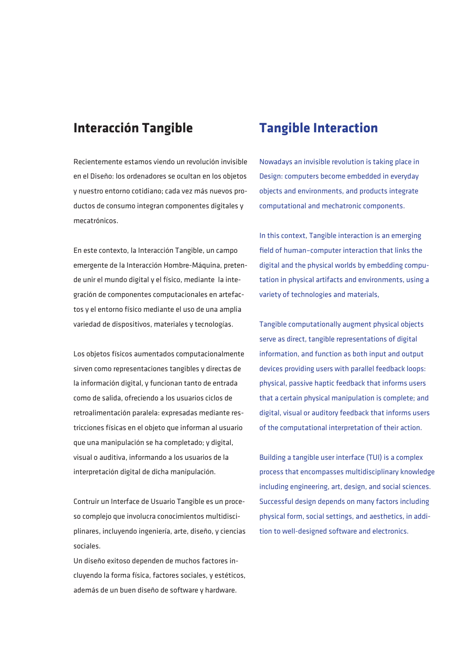### **Interacción Tangible Tangible Interaction**

Recientemente estamos viendo un revolución invisible en el Diseño: los ordenadores se ocultan en los objetos y nuestro entorno cotidiano; cada vez más nuevos productos de consumo integran componentes digitales y mecatrónicos.

En este contexto, la Interacción Tangible, un campo emergente de la Interacción Hombre-Máquina, pretende unir el mundo digital y el físico, mediante la integración de componentes computacionales en artefactos y el entorno físico mediante el uso de una amplia variedad de dispositivos, materiales y tecnologías.

Los objetos físicos aumentados computacionalmente sirven como representaciones tangibles y directas de la información digital, y funcionan tanto de entrada como de salida, ofreciendo a los usuarios ciclos de retroalimentación paralela: expresadas mediante restricciones físicas en el objeto que informan al usuario que una manipulación se ha completado; y digital, visual o auditiva, informando a los usuarios de la interpretación digital de dicha manipulación.

Contruir un Interface de Usuario Tangible es un proceso complejo que involucra conocimientos multidisciplinares, incluyendo ingeniería, arte, diseño, y ciencias sociales.

Un diseño exitoso dependen de muchos factores incluyendo la forma física, factores sociales, y estéticos, además de un buen diseño de software y hardware.

Nowadays an invisible revolution is taking place in Design: computers become embedded in everyday objects and environments, and products integrate computational and mechatronic components.

In this context, Tangible interaction is an emerging field of human–computer interaction that links the digital and the physical worlds by embedding computation in physical artifacts and environments, using a variety of technologies and materials,

Tangible computationally augment physical objects serve as direct, tangible representations of digital information, and function as both input and output devices providing users with parallel feedback loops: physical, passive haptic feedback that informs users that a certain physical manipulation is complete; and digital, visual or auditory feedback that informs users of the computational interpretation of their action.

Building a tangible user interface (TUI) is a complex process that encompasses multidisciplinary knowledge including engineering, art, design, and social sciences. Successful design depends on many factors including physical form, social settings, and aesthetics, in addition to well-designed software and electronics.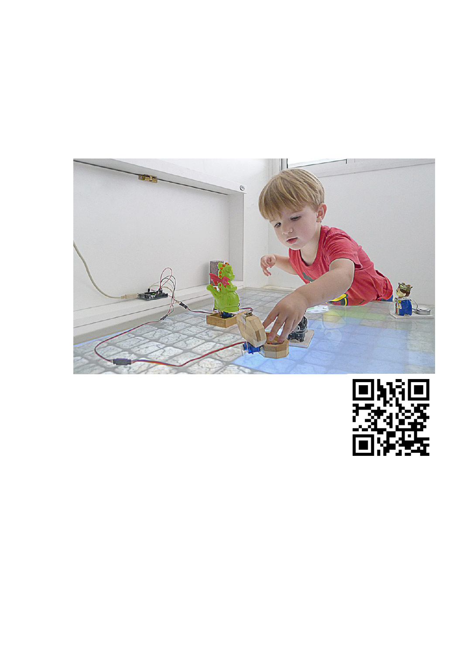

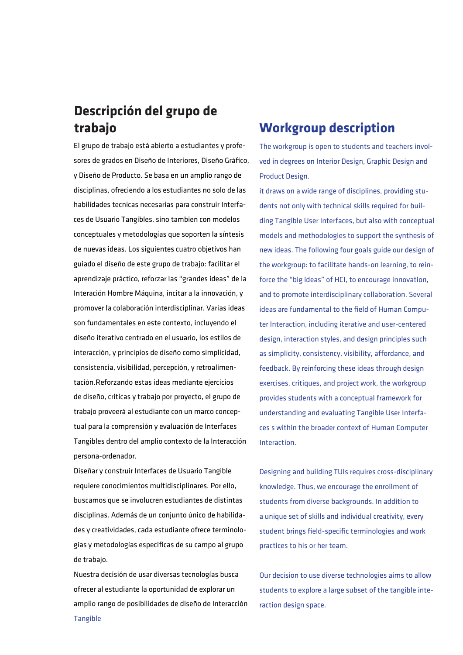# **Descripción del grupo de trabajo Workgroup description**

El grupo de trabajo está abierto a estudiantes y profesores de grados en Diseño de Interiores, Diseño Gráfico, y Diseño de Producto. Se basa en un amplio rango de disciplinas, ofreciendo a los estudiantes no solo de las habilidades tecnicas necesarias para construir Interfaces de Usuario Tangibles, sino tambien con modelos conceptuales y metodologías que soporten la síntesis de nuevas ideas. Los siguientes cuatro objetivos han guiado el diseño de este grupo de trabajo: facilitar el aprendizaje práctico, reforzar las "grandes ideas" de la Interación Hombre Máquina, incitar a la innovación, y promover la colaboración interdisciplinar. Varias ideas son fundamentales en este contexto, incluyendo el diseño iterativo centrado en el usuario, los estilos de interacción, y principios de diseño como simplicidad, consistencia, visibilidad, percepción, y retroalimentación.Reforzando estas ideas mediante ejercicios de diseño, criticas y trabajo por proyecto, el grupo de trabajo proveerá al estudiante con un marco conceptual para la comprensión y evaluación de Interfaces Tangibles dentro del amplio contexto de la Interacción persona-ordenador.

Diseñar y construir Interfaces de Usuario Tangible requiere conocimientos multidisciplinares. Por ello, buscamos que se involucren estudiantes de distintas disciplinas. Además de un conjunto único de habilidades y creatividades, cada estudiante ofrece terminologías y metodologías especificas de su campo al grupo de trabajo.

Nuestra decisión de usar diversas tecnologías busca ofrecer al estudiante la oportunidad de explorar un amplio rango de posibilidades de diseño de Interacción Tangible

The workgroup is open to students and teachers involved in degrees on Interior Design, Graphic Design and Product Design.

it draws on a wide range of disciplines, providing students not only with technical skills required for building Tangible User Interfaces, but also with conceptual models and methodologies to support the synthesis of new ideas. The following four goals guide our design of the workgroup: to facilitate hands-on learning, to reinforce the "big ideas" of HCI, to encourage innovation, and to promote interdisciplinary collaboration. Several ideas are fundamental to the field of Human Computer Interaction, including iterative and user-centered design, interaction styles, and design principles such as simplicity, consistency, visibility, affordance, and feedback. By reinforcing these ideas through design exercises, critiques, and project work, the workgroup provides students with a conceptual framework for understanding and evaluating Tangible User Interfaces s within the broader context of Human Computer Interaction.

Designing and building TUIs requires cross-disciplinary knowledge. Thus, we encourage the enrollment of students from diverse backgrounds. In addition to a unique set of skills and individual creativity, every student brings field-specific terminologies and work practices to his or her team.

Our decision to use diverse technologies aims to allow students to explore a large subset of the tangible interaction design space.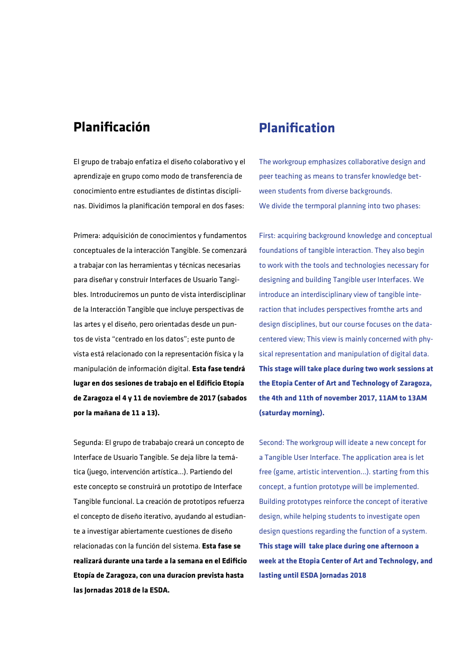## **Planificación Planification**

El grupo de trabajo enfatiza el diseño colaborativo y el aprendizaje en grupo como modo de transferencia de conocimiento entre estudiantes de distintas disciplinas. Dividimos la planificación temporal en dos fases:

Primera: adquisición de conocimientos y fundamentos conceptuales de la interacción Tangible. Se comenzará a trabajar con las herramientas y técnicas necesarias para diseñar y construir Interfaces de Usuario Tangibles. Introduciremos un punto de vista interdisciplinar de la Interacción Tangible que incluye perspectivas de las artes y el diseño, pero orientadas desde un puntos de vista "centrado en los datos"; este punto de vista está relacionado con la representación física y la manipulación de información digital. **Esta fase tendrá lugar en dos sesiones de trabajo en el Edificio Etopía de Zaragoza el 4 y 11 de noviembre de 2017 (sabados por la mañana de 11 a 13).**

Segunda: El grupo de trababajo creará un concepto de Interface de Usuario Tangible. Se deja libre la temática (juego, intervención artística...). Partiendo del este concepto se construirá un prototipo de Interface Tangible funcional. La creación de prototipos refuerza el concepto de diseño iterativo, ayudando al estudiante a investigar abiertamente cuestiones de diseño relacionadas con la función del sistema. **Esta fase se realizará durante una tarde a la semana en el Edificio Etopía de Zaragoza, con una duracíon prevista hasta las Jornadas 2018 de la ESDA.**

The workgroup emphasizes collaborative design and peer teaching as means to transfer knowledge between students from diverse backgrounds. We divide the termporal planning into two phases:

First: acquiring background knowledge and conceptual foundations of tangible interaction. They also begin to work with the tools and technologies necessary for designing and building Tangible user Interfaces. We introduce an interdisciplinary view of tangible interaction that includes perspectives fromthe arts and design disciplines, but our course focuses on the datacentered view; This view is mainly concerned with physical representation and manipulation of digital data. **This stage will take place during two work sessions at the Etopia Center of Art and Technology of Zaragoza, the 4th and 11th of november 2017, 11AM to 13AM (saturday morning).**

Second: The workgroup will ideate a new concept for a Tangible User Interface. The application area is let free (game, artistic intervention...). starting from this concept, a funtion prototype will be implemented. Building prototypes reinforce the concept of iterative design, while helping students to investigate open design questions regarding the function of a system. **This stage will take place during one afternoon a week at the Etopia Center of Art and Technology, and lasting until ESDA Jornadas 2018**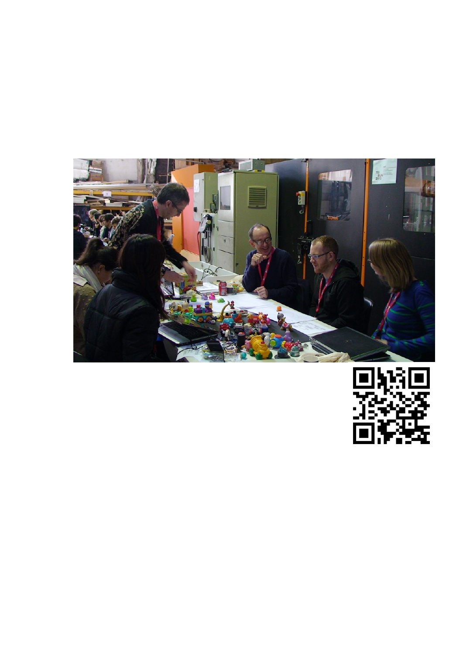

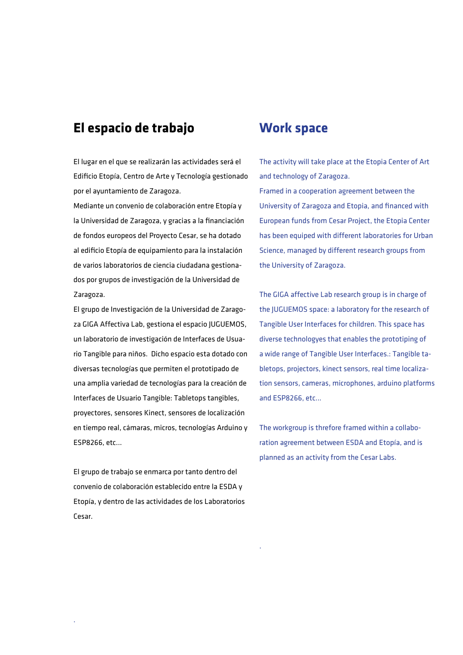### **El espacio de trabajo**

El lugar en el que se realizarán las actividades será el Edificio Etopía, Centro de Arte y Tecnología gestionado por el ayuntamiento de Zaragoza.

Mediante un convenio de colaboración entre Etopía y la Universidad de Zaragoza, y gracias a la financiación de fondos europeos del Proyecto Cesar, se ha dotado al edificio Etopía de equipamiento para la instalación de varios laboratorios de ciencia ciudadana gestionados por grupos de investigación de la Universidad de Zaragoza.

El grupo de Investigación de la Universidad de Zaragoza GIGA Affectiva Lab, gestiona el espacio JUGUEMOS, un laboratorio de investigación de Interfaces de Usuario Tangible para niños. Dicho espacio esta dotado con diversas tecnologías que permiten el prototipado de una amplia variedad de tecnologías para la creación de Interfaces de Usuario Tangible: Tabletops tangibles, proyectores, sensores Kinect, sensores de localización en tiempo real, cámaras, micros, tecnologías Arduino y ESP8266, etc...

El grupo de trabajo se enmarca por tanto dentro del convenio de colaboración establecido entre la ESDA y Etopía, y dentro de las actividades de los Laboratorios Cesar.

### **Work space**

The activity will take place at the Etopia Center of Art and technology of Zaragoza.

Framed in a cooperation agreement between the University of Zaragoza and Etopia, and financed with European funds from Cesar Project, the Etopia Center has been equiped with different laboratories for Urban Science, managed by different research groups from the University of Zaragoza.

The GIGA affective Lab research group is in charge of the JUGUEMOS space: a laboratory for the research of Tangible User Interfaces for children. This space has diverse technologyes that enables the prototiping of a wide range of Tangible User Interfaces.: Tangible tabletops, projectors, kinect sensors, real time localization sensors, cameras, microphones, arduino platforms and ESP8266, etc...

The workgroup is threfore framed within a collaboration agreement between ESDA and Etopía, and is planned as an activity from the Cesar Labs.

.

.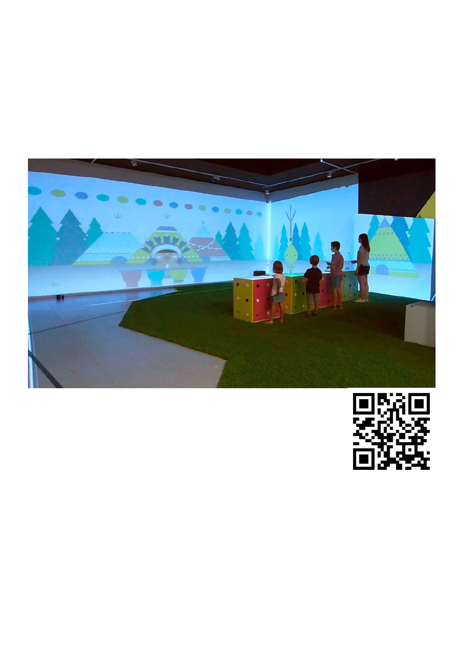